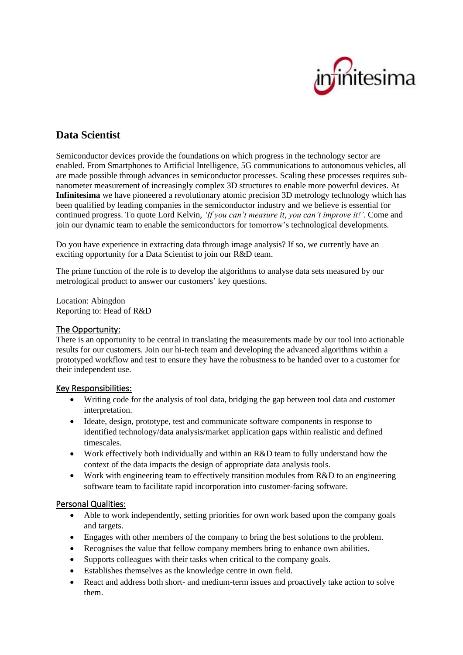

# **Data Scientist**

Semiconductor devices provide the foundations on which progress in the technology sector are enabled. From Smartphones to Artificial Intelligence, 5G communications to autonomous vehicles, all are made possible through advances in semiconductor processes. Scaling these processes requires subnanometer measurement of increasingly complex 3D structures to enable more powerful devices. At **Infinitesima** we have pioneered a revolutionary atomic precision 3D metrology technology which has been qualified by leading companies in the semiconductor industry and we believe is essential for continued progress. To quote Lord Kelvin, *'If you can't measure it, you can't improve it!'*. Come and join our dynamic team to enable the semiconductors for tomorrow's technological developments.

Do you have experience in extracting data through image analysis? If so, we currently have an exciting opportunity for a Data Scientist to join our R&D team.

The prime function of the role is to develop the algorithms to analyse data sets measured by our metrological product to answer our customers' key questions.

Location: Abingdon Reporting to: Head of R&D

### The Opportunity:

There is an opportunity to be central in translating the measurements made by our tool into actionable results for our customers. Join our hi-tech team and developing the advanced algorithms within a prototyped workflow and test to ensure they have the robustness to be handed over to a customer for their independent use.

### Key Responsibilities:

- Writing code for the analysis of tool data, bridging the gap between tool data and customer interpretation.
- Ideate, design, prototype, test and communicate software components in response to identified technology/data analysis/market application gaps within realistic and defined timescales.
- Work effectively both individually and within an R&D team to fully understand how the context of the data impacts the design of appropriate data analysis tools.
- Work with engineering team to effectively transition modules from R&D to an engineering software team to facilitate rapid incorporation into customer-facing software.

### Personal Qualities:

- Able to work independently, setting priorities for own work based upon the company goals and targets.
- Engages with other members of the company to bring the best solutions to the problem.
- Recognises the value that fellow company members bring to enhance own abilities.
- Supports colleagues with their tasks when critical to the company goals.
- Establishes themselves as the knowledge centre in own field.
- React and address both short- and medium-term issues and proactively take action to solve them.